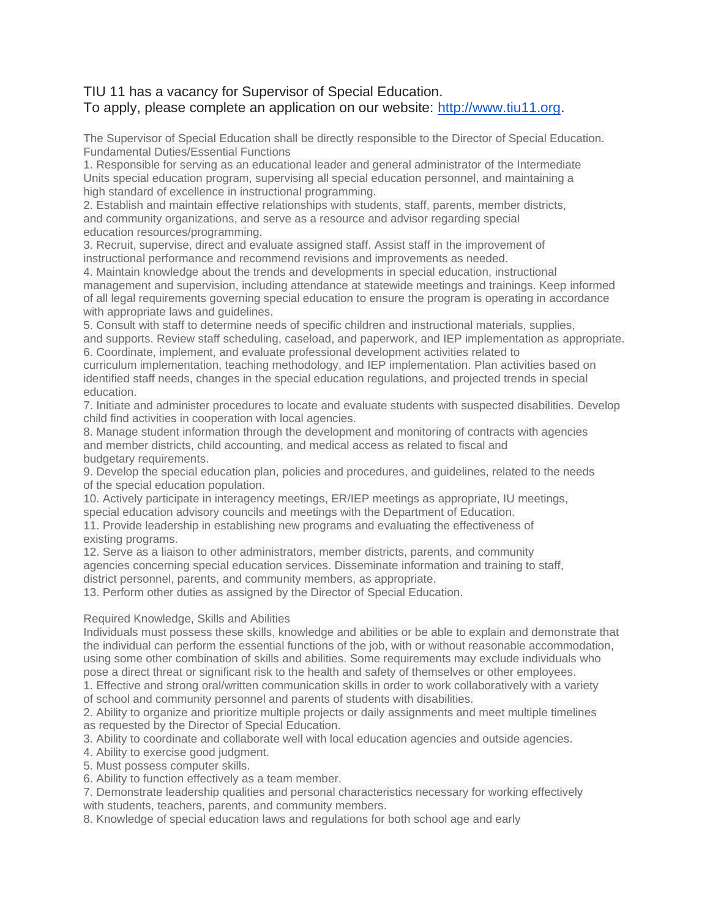## TIU 11 has a vacancy for Supervisor of Special Education. To apply, please complete an application on our website: [http://www.tiu11.org.](http://www.tiu11.org/)

The Supervisor of Special Education shall be directly responsible to the Director of Special Education. Fundamental Duties/Essential Functions

1. Responsible for serving as an educational leader and general administrator of the Intermediate Units special education program, supervising all special education personnel, and maintaining a high standard of excellence in instructional programming.

2. Establish and maintain effective relationships with students, staff, parents, member districts, and community organizations, and serve as a resource and advisor regarding special education resources/programming.

3. Recruit, supervise, direct and evaluate assigned staff. Assist staff in the improvement of instructional performance and recommend revisions and improvements as needed.

4. Maintain knowledge about the trends and developments in special education, instructional management and supervision, including attendance at statewide meetings and trainings. Keep informed of all legal requirements governing special education to ensure the program is operating in accordance with appropriate laws and guidelines.

5. Consult with staff to determine needs of specific children and instructional materials, supplies, and supports. Review staff scheduling, caseload, and paperwork, and IEP implementation as appropriate. 6. Coordinate, implement, and evaluate professional development activities related to

curriculum implementation, teaching methodology, and IEP implementation. Plan activities based on identified staff needs, changes in the special education regulations, and projected trends in special education.

7. Initiate and administer procedures to locate and evaluate students with suspected disabilities. Develop child find activities in cooperation with local agencies.

8. Manage student information through the development and monitoring of contracts with agencies and member districts, child accounting, and medical access as related to fiscal and budgetary requirements.

9. Develop the special education plan, policies and procedures, and guidelines, related to the needs of the special education population.

10. Actively participate in interagency meetings, ER/IEP meetings as appropriate, IU meetings, special education advisory councils and meetings with the Department of Education.

11. Provide leadership in establishing new programs and evaluating the effectiveness of existing programs.

12. Serve as a liaison to other administrators, member districts, parents, and community agencies concerning special education services. Disseminate information and training to staff,

district personnel, parents, and community members, as appropriate.

13. Perform other duties as assigned by the Director of Special Education.

## Required Knowledge, Skills and Abilities

Individuals must possess these skills, knowledge and abilities or be able to explain and demonstrate that the individual can perform the essential functions of the job, with or without reasonable accommodation, using some other combination of skills and abilities. Some requirements may exclude individuals who pose a direct threat or significant risk to the health and safety of themselves or other employees.

1. Effective and strong oral/written communication skills in order to work collaboratively with a variety of school and community personnel and parents of students with disabilities.

2. Ability to organize and prioritize multiple projects or daily assignments and meet multiple timelines as requested by the Director of Special Education.

3. Ability to coordinate and collaborate well with local education agencies and outside agencies.

4. Ability to exercise good judgment.

5. Must possess computer skills.

6. Ability to function effectively as a team member.

7. Demonstrate leadership qualities and personal characteristics necessary for working effectively with students, teachers, parents, and community members.

8. Knowledge of special education laws and regulations for both school age and early